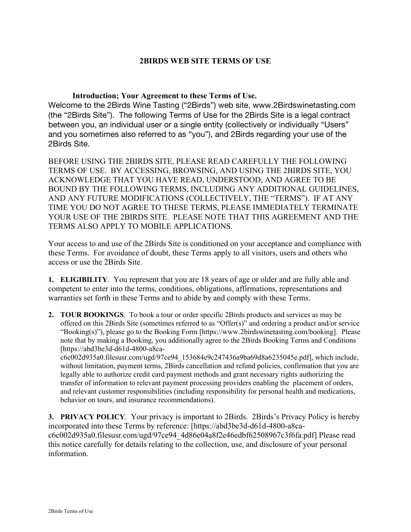### **2BIRDS WEB SITE TERMS OF USE**

**Introduction; Your Agreement to these Terms of Use.**

Welcome to the 2Birds Wine Tasting ("2Birds") web site, www.2Birdswinetasting.com (the "2Birds Site"). The following Terms of Use for the 2Birds Site is a legal contract between you, an individual user or a single entity (collectively or individually "Users" and you sometimes also referred to as "you"), and 2Birds regarding your use of the 2Birds Site.

BEFORE USING THE 2BIRDS SITE, PLEASE READ CAREFULLY THE FOLLOWING TERMS OF USE. BY ACCESSING, BROWSING, AND USING THE 2BIRDS SITE, YOU ACKNOWLEDGE THAT YOU HAVE READ, UNDERSTOOD, AND AGREE TO BE BOUND BY THE FOLLOWING TERMS, INCLUDING ANY ADDITIONAL GUIDELINES, AND ANY FUTURE MODIFICATIONS (COLLECTIVELY, THE "TERMS"). IF AT ANY TIME YOU DO NOT AGREE TO THESE TERMS, PLEASE IMMEDIATELY TERMINATE YOUR USE OF THE 2BIRDS SITE. PLEASE NOTE THAT THIS AGREEMENT AND THE TERMS ALSO APPLY TO MOBILE APPLICATIONS.

Your access to and use of the 2Birds Site is conditioned on your acceptance and compliance with these Terms. For avoidance of doubt, these Terms apply to all visitors, users and others who access or use the 2Birds Site.

**1. ELIGIBILITY**. You represent that you are 18 years of age or older and are fully able and competent to enter into the terms, conditions, obligations, affirmations, representations and warranties set forth in these Terms and to abide by and comply with these Terms.

**2. TOUR BOOKINGS**. To book a tour or order specific 2Birds products and services as may be offered on this 2Birds Site (sometimes referred to as "Offer $(s)$ " and ordering a product and/or service "Booking(s)"), please go to the Booking Form [https://www.2birdswinetasting.com/booking]. Please note that by making a Booking, you additionally agree to the 2Birds Booking Terms and Conditions [https://abd3be3d-d61d-4800-a8ca-

c6c002d935a0.filesusr.com/ugd/97ce94\_153684e9c247436a9ba69d8a6235045e.pdf], which include, without limitation, payment terms, 2Birds cancellation and refund policies, confirmation that you are legally able to authorize credit card payment methods and grant necessary rights authorizing the transfer of information to relevant payment processing providers enabling the placement of orders, and relevant customer responsibilities (including responsibility for personal health and medications, behavior on tours, and insurance recommendations).

**3. PRIVACY POLICY**. Your privacy is important to 2Birds. 2Birds's Privacy Policy is hereby incorporated into these Terms by reference: [https://abd3be3d-d61d-4800-a8cac6c002d935a0.filesusr.com/ugd/97ce94\_4d86e04a8f2e46edbf62508967c3f6fa.pdf] Please read this notice carefully for details relating to the collection, use, and disclosure of your personal information.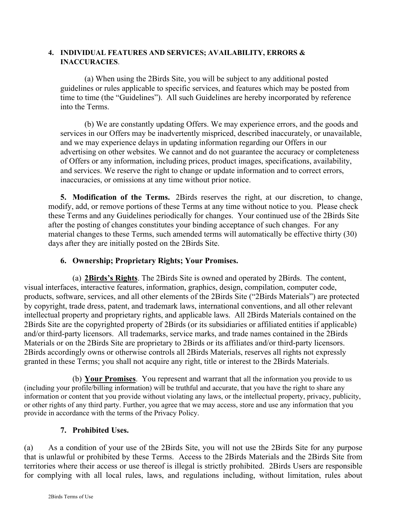#### **4. INDIVIDUAL FEATURES AND SERVICES; AVAILABILITY, ERRORS & INACCURACIES**.

(a) When using the 2Birds Site, you will be subject to any additional posted guidelines or rules applicable to specific services, and features which may be posted from time to time (the "Guidelines"). All such Guidelines are hereby incorporated by reference into the Terms.

(b) We are constantly updating Offers. We may experience errors, and the goods and services in our Offers may be inadvertently mispriced, described inaccurately, or unavailable, and we may experience delays in updating information regarding our Offers in our advertising on other websites. We cannot and do not guarantee the accuracy or completeness of Offers or any information, including prices, product images, specifications, availability, and services. We reserve the right to change or update information and to correct errors, inaccuracies, or omissions at any time without prior notice.

**5. Modification of the Terms.** 2Birds reserves the right, at our discretion, to change, modify, add, or remove portions of these Terms at any time without notice to you. Please check these Terms and any Guidelines periodically for changes. Your continued use of the 2Birds Site after the posting of changes constitutes your binding acceptance of such changes. For any material changes to these Terms, such amended terms will automatically be effective thirty (30) days after they are initially posted on the 2Birds Site.

# **6. Ownership; Proprietary Rights; Your Promises.**

(a) **2Birds's Rights**. The 2Birds Site is owned and operated by 2Birds. The content, visual interfaces, interactive features, information, graphics, design, compilation, computer code, products, software, services, and all other elements of the 2Birds Site ("2Birds Materials") are protected by copyright, trade dress, patent, and trademark laws, international conventions, and all other relevant intellectual property and proprietary rights, and applicable laws. All 2Birds Materials contained on the 2Birds Site are the copyrighted property of 2Birds (or its subsidiaries or affiliated entities if applicable) and/or third-party licensors. All trademarks, service marks, and trade names contained in the 2Birds Materials or on the 2Birds Site are proprietary to 2Birds or its affiliates and/or third-party licensors. 2Birds accordingly owns or otherwise controls all 2Birds Materials, reserves all rights not expressly granted in these Terms; you shall not acquire any right, title or interest to the 2Birds Materials.

(b) **Your Promises**. You represent and warrant that all the information you provide to us (including your profile/billing information) will be truthful and accurate, that you have the right to share any information or content that you provide without violating any laws, or the intellectual property, privacy, publicity, or other rights of any third party. Further, you agree that we may access, store and use any information that you provide in accordance with the terms of the Privacy Policy.

## **7. Prohibited Uses.**

(a) As a condition of your use of the 2Birds Site, you will not use the 2Birds Site for any purpose that is unlawful or prohibited by these Terms. Access to the 2Birds Materials and the 2Birds Site from territories where their access or use thereof is illegal is strictly prohibited. 2Birds Users are responsible for complying with all local rules, laws, and regulations including, without limitation, rules about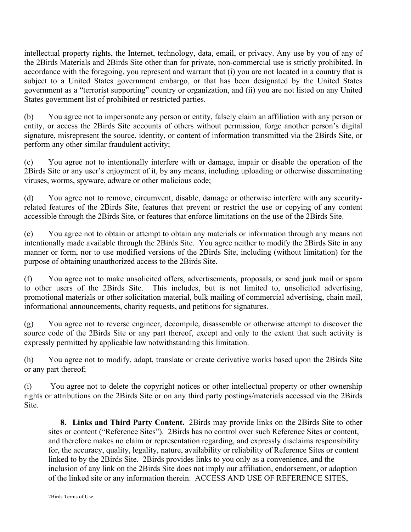intellectual property rights, the Internet, technology, data, email, or privacy. Any use by you of any of the 2Birds Materials and 2Birds Site other than for private, non-commercial use is strictly prohibited. In accordance with the foregoing, you represent and warrant that (i) you are not located in a country that is subject to a United States government embargo, or that has been designated by the United States government as a "terrorist supporting" country or organization, and (ii) you are not listed on any United States government list of prohibited or restricted parties.

(b) You agree not to impersonate any person or entity, falsely claim an affiliation with any person or entity, or access the 2Birds Site accounts of others without permission, forge another person's digital signature, misrepresent the source, identity, or content of information transmitted via the 2Birds Site, or perform any other similar fraudulent activity;

(c) You agree not to intentionally interfere with or damage, impair or disable the operation of the 2Birds Site or any user's enjoyment of it, by any means, including uploading or otherwise disseminating viruses, worms, spyware, adware or other malicious code;

(d) You agree not to remove, circumvent, disable, damage or otherwise interfere with any securityrelated features of the 2Birds Site, features that prevent or restrict the use or copying of any content accessible through the 2Birds Site, or features that enforce limitations on the use of the 2Birds Site.

(e) You agree not to obtain or attempt to obtain any materials or information through any means not intentionally made available through the 2Birds Site. You agree neither to modify the 2Birds Site in any manner or form, nor to use modified versions of the 2Birds Site, including (without limitation) for the purpose of obtaining unauthorized access to the 2Birds Site.

(f) You agree not to make unsolicited offers, advertisements, proposals, or send junk mail or spam to other users of the 2Birds Site. This includes, but is not limited to, unsolicited advertising, promotional materials or other solicitation material, bulk mailing of commercial advertising, chain mail, informational announcements, charity requests, and petitions for signatures.

(g) You agree not to reverse engineer, decompile, disassemble or otherwise attempt to discover the source code of the 2Birds Site or any part thereof, except and only to the extent that such activity is expressly permitted by applicable law notwithstanding this limitation.

(h) You agree not to modify, adapt, translate or create derivative works based upon the 2Birds Site or any part thereof;

(i) You agree not to delete the copyright notices or other intellectual property or other ownership rights or attributions on the 2Birds Site or on any third party postings/materials accessed via the 2Birds Site.

**8. Links and Third Party Content.** 2Birds may provide links on the 2Birds Site to other sites or content ("Reference Sites"). 2Birds has no control over such Reference Sites or content, and therefore makes no claim or representation regarding, and expressly disclaims responsibility for, the accuracy, quality, legality, nature, availability or reliability of Reference Sites or content linked to by the 2Birds Site. 2Birds provides links to you only as a convenience, and the inclusion of any link on the 2Birds Site does not imply our affiliation, endorsement, or adoption of the linked site or any information therein. ACCESS AND USE OF REFERENCE SITES,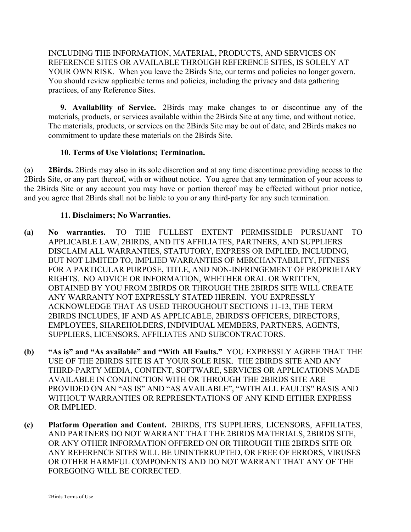INCLUDING THE INFORMATION, MATERIAL, PRODUCTS, AND SERVICES ON REFERENCE SITES OR AVAILABLE THROUGH REFERENCE SITES, IS SOLELY AT YOUR OWN RISK. When you leave the 2Birds Site, our terms and policies no longer govern. You should review applicable terms and policies, including the privacy and data gathering practices, of any Reference Sites.

**9. Availability of Service.** 2Birds may make changes to or discontinue any of the materials, products, or services available within the 2Birds Site at any time, and without notice. The materials, products, or services on the 2Birds Site may be out of date, and 2Birds makes no commitment to update these materials on the 2Birds Site.

### **10. Terms of Use Violations; Termination.**

(a) **2Birds.** 2Birds may also in its sole discretion and at any time discontinue providing access to the 2Birds Site, or any part thereof, with or without notice. You agree that any termination of your access to the 2Birds Site or any account you may have or portion thereof may be effected without prior notice, and you agree that 2Birds shall not be liable to you or any third-party for any such termination.

### **11. Disclaimers; No Warranties.**

- **(a) No warranties.** TO THE FULLEST EXTENT PERMISSIBLE PURSUANT TO APPLICABLE LAW, 2BIRDS, AND ITS AFFILIATES, PARTNERS, AND SUPPLIERS DISCLAIM ALL WARRANTIES, STATUTORY, EXPRESS OR IMPLIED, INCLUDING, BUT NOT LIMITED TO, IMPLIED WARRANTIES OF MERCHANTABILITY, FITNESS FOR A PARTICULAR PURPOSE, TITLE, AND NON-INFRINGEMENT OF PROPRIETARY RIGHTS. NO ADVICE OR INFORMATION, WHETHER ORAL OR WRITTEN, OBTAINED BY YOU FROM 2BIRDS OR THROUGH THE 2BIRDS SITE WILL CREATE ANY WARRANTY NOT EXPRESSLY STATED HEREIN. YOU EXPRESSLY ACKNOWLEDGE THAT AS USED THROUGHOUT SECTIONS 11-13, THE TERM 2BIRDS INCLUDES, IF AND AS APPLICABLE, 2BIRDS'S OFFICERS, DIRECTORS, EMPLOYEES, SHAREHOLDERS, INDIVIDUAL MEMBERS, PARTNERS, AGENTS, SUPPLIERS, LICENSORS, AFFILIATES AND SUBCONTRACTORS.
- **(b) "As is" and "As available" and "With All Faults."** YOU EXPRESSLY AGREE THAT THE USE OF THE 2BIRDS SITE IS AT YOUR SOLE RISK. THE 2BIRDS SITE AND ANY THIRD-PARTY MEDIA, CONTENT, SOFTWARE, SERVICES OR APPLICATIONS MADE AVAILABLE IN CONJUNCTION WITH OR THROUGH THE 2BIRDS SITE ARE PROVIDED ON AN "AS IS" AND "AS AVAILABLE", "WITH ALL FAULTS" BASIS AND WITHOUT WARRANTIES OR REPRESENTATIONS OF ANY KIND EITHER EXPRESS OR IMPLIED.
- **(c) Platform Operation and Content.** 2BIRDS, ITS SUPPLIERS, LICENSORS, AFFILIATES, AND PARTNERS DO NOT WARRANT THAT THE 2BIRDS MATERIALS, 2BIRDS SITE, OR ANY OTHER INFORMATION OFFERED ON OR THROUGH THE 2BIRDS SITE OR ANY REFERENCE SITES WILL BE UNINTERRUPTED, OR FREE OF ERRORS, VIRUSES OR OTHER HARMFUL COMPONENTS AND DO NOT WARRANT THAT ANY OF THE FOREGOING WILL BE CORRECTED.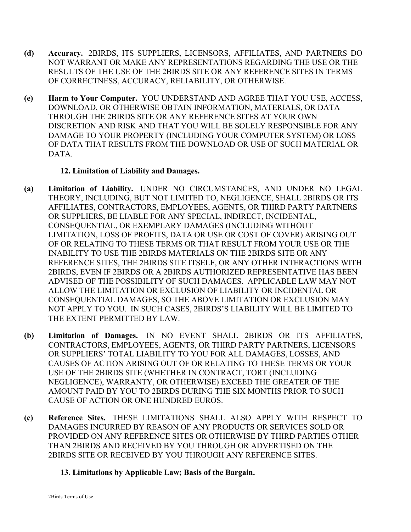- **(d) Accuracy.** 2BIRDS, ITS SUPPLIERS, LICENSORS, AFFILIATES, AND PARTNERS DO NOT WARRANT OR MAKE ANY REPRESENTATIONS REGARDING THE USE OR THE RESULTS OF THE USE OF THE 2BIRDS SITE OR ANY REFERENCE SITES IN TERMS OF CORRECTNESS, ACCURACY, RELIABILITY, OR OTHERWISE.
- **(e) Harm to Your Computer.** YOU UNDERSTAND AND AGREE THAT YOU USE, ACCESS, DOWNLOAD, OR OTHERWISE OBTAIN INFORMATION, MATERIALS, OR DATA THROUGH THE 2BIRDS SITE OR ANY REFERENCE SITES AT YOUR OWN DISCRETION AND RISK AND THAT YOU WILL BE SOLELY RESPONSIBLE FOR ANY DAMAGE TO YOUR PROPERTY (INCLUDING YOUR COMPUTER SYSTEM) OR LOSS OF DATA THAT RESULTS FROM THE DOWNLOAD OR USE OF SUCH MATERIAL OR DATA.

## **12. Limitation of Liability and Damages.**

- **(a) Limitation of Liability.** UNDER NO CIRCUMSTANCES, AND UNDER NO LEGAL THEORY, INCLUDING, BUT NOT LIMITED TO, NEGLIGENCE, SHALL 2BIRDS OR ITS AFFILIATES, CONTRACTORS, EMPLOYEES, AGENTS, OR THIRD PARTY PARTNERS OR SUPPLIERS, BE LIABLE FOR ANY SPECIAL, INDIRECT, INCIDENTAL, CONSEQUENTIAL, OR EXEMPLARY DAMAGES (INCLUDING WITHOUT LIMITATION, LOSS OF PROFITS, DATA OR USE OR COST OF COVER) ARISING OUT OF OR RELATING TO THESE TERMS OR THAT RESULT FROM YOUR USE OR THE INABILITY TO USE THE 2BIRDS MATERIALS ON THE 2BIRDS SITE OR ANY REFERENCE SITES, THE 2BIRDS SITE ITSELF, OR ANY OTHER INTERACTIONS WITH 2BIRDS, EVEN IF 2BIRDS OR A 2BIRDS AUTHORIZED REPRESENTATIVE HAS BEEN ADVISED OF THE POSSIBILITY OF SUCH DAMAGES. APPLICABLE LAW MAY NOT ALLOW THE LIMITATION OR EXCLUSION OF LIABILITY OR INCIDENTAL OR CONSEQUENTIAL DAMAGES, SO THE ABOVE LIMITATION OR EXCLUSION MAY NOT APPLY TO YOU. IN SUCH CASES, 2BIRDS'S LIABILITY WILL BE LIMITED TO THE EXTENT PERMITTED BY LAW.
- **(b) Limitation of Damages.** IN NO EVENT SHALL 2BIRDS OR ITS AFFILIATES, CONTRACTORS, EMPLOYEES, AGENTS, OR THIRD PARTY PARTNERS, LICENSORS OR SUPPLIERS' TOTAL LIABILITY TO YOU FOR ALL DAMAGES, LOSSES, AND CAUSES OF ACTION ARISING OUT OF OR RELATING TO THESE TERMS OR YOUR USE OF THE 2BIRDS SITE (WHETHER IN CONTRACT, TORT (INCLUDING NEGLIGENCE), WARRANTY, OR OTHERWISE) EXCEED THE GREATER OF THE AMOUNT PAID BY YOU TO 2BIRDS DURING THE SIX MONTHS PRIOR TO SUCH CAUSE OF ACTION OR ONE HUNDRED EUROS.
- **(c) Reference Sites.** THESE LIMITATIONS SHALL ALSO APPLY WITH RESPECT TO DAMAGES INCURRED BY REASON OF ANY PRODUCTS OR SERVICES SOLD OR PROVIDED ON ANY REFERENCE SITES OR OTHERWISE BY THIRD PARTIES OTHER THAN 2BIRDS AND RECEIVED BY YOU THROUGH OR ADVERTISED ON THE 2BIRDS SITE OR RECEIVED BY YOU THROUGH ANY REFERENCE SITES.

## **13. Limitations by Applicable Law; Basis of the Bargain.**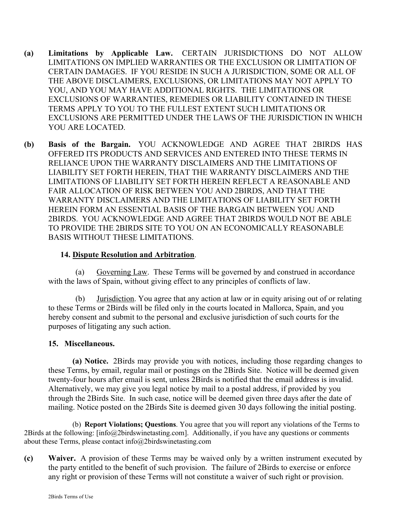- **(a) Limitations by Applicable Law.** CERTAIN JURISDICTIONS DO NOT ALLOW LIMITATIONS ON IMPLIED WARRANTIES OR THE EXCLUSION OR LIMITATION OF CERTAIN DAMAGES. IF YOU RESIDE IN SUCH A JURISDICTION, SOME OR ALL OF THE ABOVE DISCLAIMERS, EXCLUSIONS, OR LIMITATIONS MAY NOT APPLY TO YOU, AND YOU MAY HAVE ADDITIONAL RIGHTS. THE LIMITATIONS OR EXCLUSIONS OF WARRANTIES, REMEDIES OR LIABILITY CONTAINED IN THESE TERMS APPLY TO YOU TO THE FULLEST EXTENT SUCH LIMITATIONS OR EXCLUSIONS ARE PERMITTED UNDER THE LAWS OF THE JURISDICTION IN WHICH YOU ARE LOCATED.
- **(b) Basis of the Bargain.** YOU ACKNOWLEDGE AND AGREE THAT 2BIRDS HAS OFFERED ITS PRODUCTS AND SERVICES AND ENTERED INTO THESE TERMS IN RELIANCE UPON THE WARRANTY DISCLAIMERS AND THE LIMITATIONS OF LIABILITY SET FORTH HEREIN, THAT THE WARRANTY DISCLAIMERS AND THE LIMITATIONS OF LIABILITY SET FORTH HEREIN REFLECT A REASONABLE AND FAIR ALLOCATION OF RISK BETWEEN YOU AND 2BIRDS, AND THAT THE WARRANTY DISCLAIMERS AND THE LIMITATIONS OF LIABILITY SET FORTH HEREIN FORM AN ESSENTIAL BASIS OF THE BARGAIN BETWEEN YOU AND 2BIRDS. YOU ACKNOWLEDGE AND AGREE THAT 2BIRDS WOULD NOT BE ABLE TO PROVIDE THE 2BIRDS SITE TO YOU ON AN ECONOMICALLY REASONABLE BASIS WITHOUT THESE LIMITATIONS.

### **14. Dispute Resolution and Arbitration**.

(a) Governing Law. These Terms will be governed by and construed in accordance with the laws of Spain, without giving effect to any principles of conflicts of law.

(b) Jurisdiction. You agree that any action at law or in equity arising out of or relating to these Terms or 2Birds will be filed only in the courts located in Mallorca, Spain, and you hereby consent and submit to the personal and exclusive jurisdiction of such courts for the purposes of litigating any such action.

## **15. Miscellaneous.**

**(a) Notice.** 2Birds may provide you with notices, including those regarding changes to these Terms, by email, regular mail or postings on the 2Birds Site. Notice will be deemed given twenty-four hours after email is sent, unless 2Birds is notified that the email address is invalid. Alternatively, we may give you legal notice by mail to a postal address, if provided by you through the 2Birds Site. In such case, notice will be deemed given three days after the date of mailing. Notice posted on the 2Birds Site is deemed given 30 days following the initial posting.

(b) **Report Violations; Questions**. You agree that you will report any violations of the Terms to 2Birds at the following: [info@2birdswinetasting.com]. Additionally, if you have any questions or comments about these Terms, please contact info@2birdswinetasting.com

**(c) Waiver.** A provision of these Terms may be waived only by a written instrument executed by the party entitled to the benefit of such provision. The failure of 2Birds to exercise or enforce any right or provision of these Terms will not constitute a waiver of such right or provision.